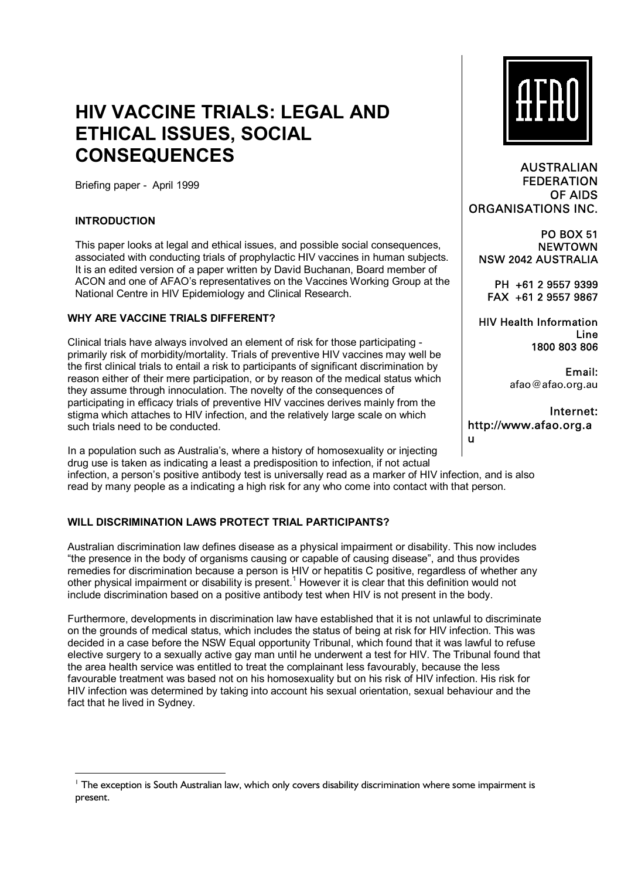# **HIV VACCINE TRIALS: LEGAL AND ETHICAL ISSUES, SOCIAL CONSEQUENCES**

Briefing paper - April 1999

## **INTRODUCTION**

This paper looks at legal and ethical issues, and possible social consequences, associated with conducting trials of prophylactic HIV vaccines in human subjects. It is an edited version of a paper written by David Buchanan, Board member of ACON and one of AFAOís representatives on the Vaccines Working Group at the National Centre in HIV Epidemiology and Clinical Research.

#### **WHY ARE VACCINE TRIALS DIFFERENT?**

Clinical trials have always involved an element of risk for those participating primarily risk of morbidity/mortality. Trials of preventive HIV vaccines may well be the first clinical trials to entail a risk to participants of significant discrimination by reason either of their mere participation, or by reason of the medical status which they assume through innoculation. The novelty of the consequences of participating in efficacy trials of preventive HIV vaccines derives mainly from the stigma which attaches to HIV infection, and the relatively large scale on which such trials need to be conducted.

In a population such as Australiaís, where a history of homosexuality or injecting drug use is taken as indicating a least a predisposition to infection, if not actual infection, a personís positive antibody test is universally read as a marker of HIV infection, and is also read by many people as a indicating a high risk for any who come into contact with that person.

## **WILL DISCRIMINATION LAWS PROTECT TRIAL PARTICIPANTS?**

Australian discrimination law defines disease as a physical impairment or disability. This now includes ìthe presence in the body of organisms causing or capable of causing diseaseî, and thus provides remedies for discrimination because a person is HIV or hepatitis C positive, regardless of whether any other physical impairment or disability is present.<sup>1</sup> However it is clear that this definition would not include discrimination based on a positive antibody test when HIV is not present in the body.

Furthermore, developments in discrimination law have established that it is not unlawful to discriminate on the grounds of medical status, which includes the status of being at risk for HIV infection. This was decided in a case before the NSW Equal opportunity Tribunal, which found that it was lawful to refuse elective surgery to a sexually active gay man until he underwent a test for HIV. The Tribunal found that the area health service was entitled to treat the complainant less favourably, because the less favourable treatment was based not on his homosexuality but on his risk of HIV infection. His risk for HIV infection was determined by taking into account his sexual orientation, sexual behaviour and the fact that he lived in Sydney.



AUSTRALIAN FEDERATION OF AIDS ORGANISATIONS INC.

PO BOX 51 **NEWTOWN** NSW 2042 AUSTRALIA

PH +61 2 9557 9399 FAX +61 2 9557 9867

HIV Health Information Line 1800 803 806

> Email: afao@afao.org.au

Internet: http://www.afao.org.a u

<sup>&</sup>lt;sup>1</sup> The exception is South Australian law, which only covers disability discrimination where some impairment is present.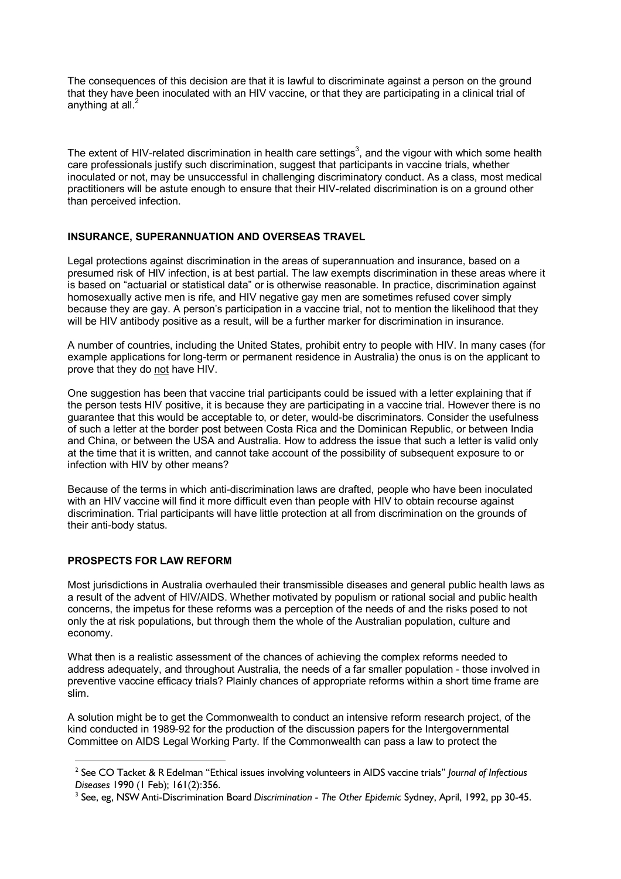The consequences of this decision are that it is lawful to discriminate against a person on the ground that they have been inoculated with an HIV vaccine, or that they are participating in a clinical trial of anything at all.<sup>2</sup>

The extent of HIV-related discrimination in health care settings<sup>3</sup>, and the vigour with which some health care professionals justify such discrimination, suggest that participants in vaccine trials, whether inoculated or not, may be unsuccessful in challenging discriminatory conduct. As a class, most medical practitioners will be astute enough to ensure that their HIV-related discrimination is on a ground other than perceived infection.

## **INSURANCE, SUPERANNUATION AND OVERSEAS TRAVEL**

Legal protections against discrimination in the areas of superannuation and insurance, based on a presumed risk of HIV infection, is at best partial. The law exempts discrimination in these areas where it is based on "actuarial or statistical data" or is otherwise reasonable. In practice, discrimination against homosexually active men is rife, and HIV negative gay men are sometimes refused cover simply because they are gay. A person's participation in a vaccine trial, not to mention the likelihood that they will be HIV antibody positive as a result, will be a further marker for discrimination in insurance.

A number of countries, including the United States, prohibit entry to people with HIV. In many cases (for example applications for long-term or permanent residence in Australia) the onus is on the applicant to prove that they do not have HIV.

One suggestion has been that vaccine trial participants could be issued with a letter explaining that if the person tests HIV positive, it is because they are participating in a vaccine trial. However there is no guarantee that this would be acceptable to, or deter, would-be discriminators. Consider the usefulness of such a letter at the border post between Costa Rica and the Dominican Republic, or between India and China, or between the USA and Australia. How to address the issue that such a letter is valid only at the time that it is written, and cannot take account of the possibility of subsequent exposure to or infection with HIV by other means?

Because of the terms in which anti-discrimination laws are drafted, people who have been inoculated with an HIV vaccine will find it more difficult even than people with HIV to obtain recourse against discrimination. Trial participants will have little protection at all from discrimination on the grounds of their anti-body status.

# **PROSPECTS FOR LAW REFORM**

Most jurisdictions in Australia overhauled their transmissible diseases and general public health laws as a result of the advent of HIV/AIDS. Whether motivated by populism or rational social and public health concerns, the impetus for these reforms was a perception of the needs of and the risks posed to not only the at risk populations, but through them the whole of the Australian population, culture and economy.

What then is a realistic assessment of the chances of achieving the complex reforms needed to address adequately, and throughout Australia, the needs of a far smaller population - those involved in preventive vaccine efficacy trials? Plainly chances of appropriate reforms within a short time frame are slim.

A solution might be to get the Commonwealth to conduct an intensive reform research project, of the kind conducted in 1989-92 for the production of the discussion papers for the Intergovernmental Committee on AIDS Legal Working Party. If the Commonwealth can pass a law to protect the

<sup>&</sup>lt;sup>2</sup> See CO Tacket & R Edelman "Ethical issues involving volunteers in AIDS vaccine trials" *Journal of Infectious Diseases* 1990 (1 Feb); 161(2):356.

See, eg, NSW Anti-Discrimination Board *Discrimination - The Other Epidemic* Sydney, April, 1992, pp 30-45.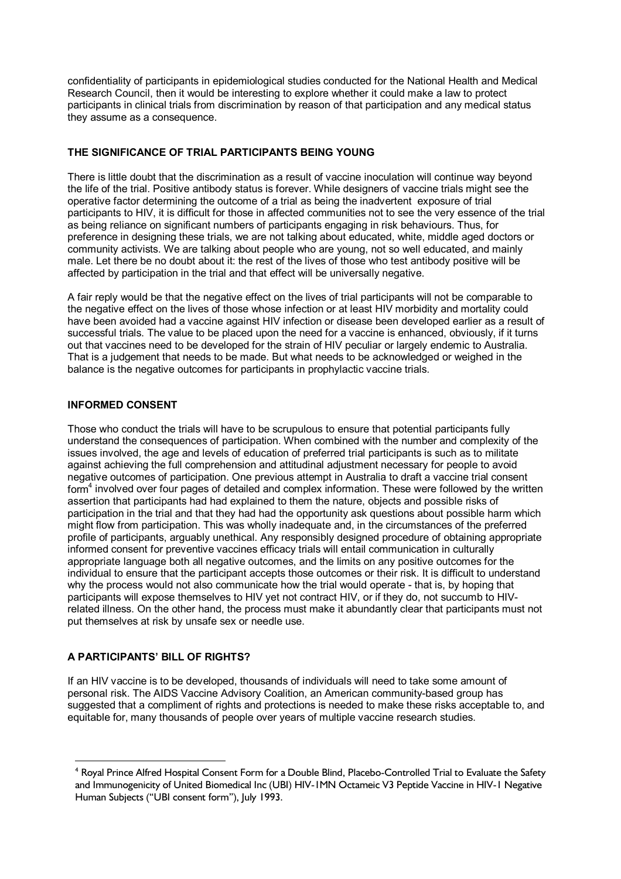confidentiality of participants in epidemiological studies conducted for the National Health and Medical Research Council, then it would be interesting to explore whether it could make a law to protect participants in clinical trials from discrimination by reason of that participation and any medical status they assume as a consequence.

## **THE SIGNIFICANCE OF TRIAL PARTICIPANTS BEING YOUNG**

There is little doubt that the discrimination as a result of vaccine inoculation will continue way beyond the life of the trial. Positive antibody status is forever. While designers of vaccine trials might see the operative factor determining the outcome of a trial as being the inadvertent exposure of trial participants to HIV, it is difficult for those in affected communities not to see the very essence of the trial as being reliance on significant numbers of participants engaging in risk behaviours. Thus, for preference in designing these trials, we are not talking about educated, white, middle aged doctors or community activists. We are talking about people who are young, not so well educated, and mainly male. Let there be no doubt about it: the rest of the lives of those who test antibody positive will be affected by participation in the trial and that effect will be universally negative.

A fair reply would be that the negative effect on the lives of trial participants will not be comparable to the negative effect on the lives of those whose infection or at least HIV morbidity and mortality could have been avoided had a vaccine against HIV infection or disease been developed earlier as a result of successful trials. The value to be placed upon the need for a vaccine is enhanced, obviously, if it turns out that vaccines need to be developed for the strain of HIV peculiar or largely endemic to Australia. That is a judgement that needs to be made. But what needs to be acknowledged or weighed in the balance is the negative outcomes for participants in prophylactic vaccine trials.

## **INFORMED CONSENT**

Those who conduct the trials will have to be scrupulous to ensure that potential participants fully understand the consequences of participation. When combined with the number and complexity of the issues involved, the age and levels of education of preferred trial participants is such as to militate against achieving the full comprehension and attitudinal adjustment necessary for people to avoid negative outcomes of participation. One previous attempt in Australia to draft a vaccine trial consent form<sup>4</sup> involved over four pages of detailed and complex information. These were followed by the written assertion that participants had had explained to them the nature, objects and possible risks of participation in the trial and that they had had the opportunity ask questions about possible harm which might flow from participation. This was wholly inadequate and, in the circumstances of the preferred profile of participants, arguably unethical. Any responsibly designed procedure of obtaining appropriate informed consent for preventive vaccines efficacy trials will entail communication in culturally appropriate language both all negative outcomes, and the limits on any positive outcomes for the individual to ensure that the participant accepts those outcomes or their risk. It is difficult to understand why the process would not also communicate how the trial would operate - that is, by hoping that participants will expose themselves to HIV yet not contract HIV, or if they do, not succumb to HIVrelated illness. On the other hand, the process must make it abundantly clear that participants must not put themselves at risk by unsafe sex or needle use.

# **A PARTICIPANTSí BILL OF RIGHTS?**

If an HIV vaccine is to be developed, thousands of individuals will need to take some amount of personal risk. The AIDS Vaccine Advisory Coalition, an American community-based group has suggested that a compliment of rights and protections is needed to make these risks acceptable to, and equitable for, many thousands of people over years of multiple vaccine research studies.

<sup>&</sup>lt;sup>4</sup> Royal Prince Alfred Hospital Consent Form for a Double Blind, Placebo-Controlled Trial to Evaluate the Safety and Immunogenicity of United Biomedical Inc (UBI) HIV-1MN Octameic V3 Peptide Vaccine in HIV-1 Negative Human Subjects ("UBI consent form"), July 1993.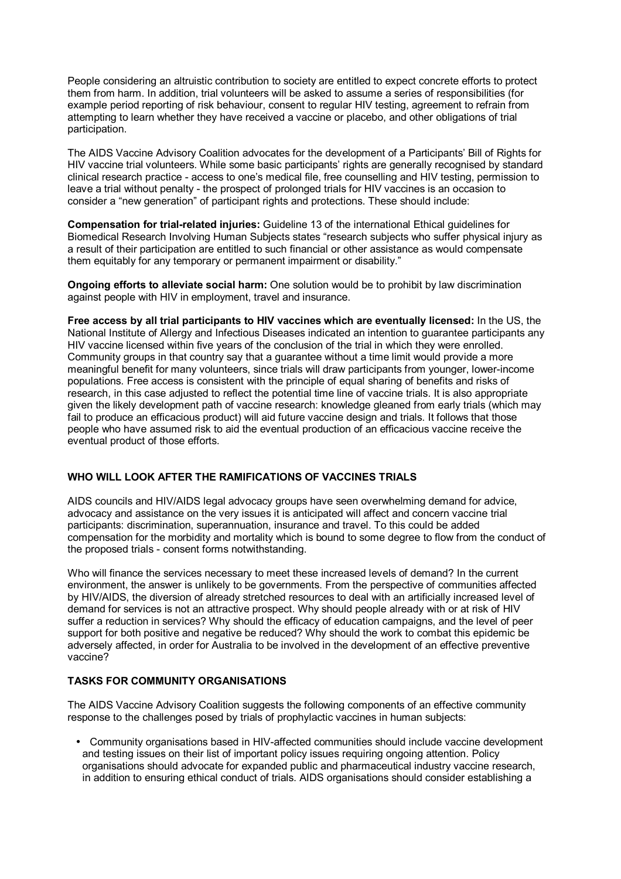People considering an altruistic contribution to society are entitled to expect concrete efforts to protect them from harm. In addition, trial volunteers will be asked to assume a series of responsibilities (for example period reporting of risk behaviour, consent to regular HIV testing, agreement to refrain from attempting to learn whether they have received a vaccine or placebo, and other obligations of trial participation.

The AIDS Vaccine Advisory Coalition advocates for the development of a Participantsí Bill of Rights for HIV vaccine trial volunteers. While some basic participants' rights are generally recognised by standard clinical research practice - access to one's medical file, free counselling and HIV testing, permission to leave a trial without penalty - the prospect of prolonged trials for HIV vaccines is an occasion to consider a "new generation" of participant rights and protections. These should include:

**Compensation for trial-related injuries:** Guideline 13 of the international Ethical guidelines for Biomedical Research Involving Human Subjects states "research subjects who suffer physical injury as a result of their participation are entitled to such financial or other assistance as would compensate them equitably for any temporary or permanent impairment or disability."

**Ongoing efforts to alleviate social harm:** One solution would be to prohibit by law discrimination against people with HIV in employment, travel and insurance.

**Free access by all trial participants to HIV vaccines which are eventually licensed:** In the US, the National Institute of Allergy and Infectious Diseases indicated an intention to guarantee participants any HIV vaccine licensed within five years of the conclusion of the trial in which they were enrolled. Community groups in that country say that a guarantee without a time limit would provide a more meaningful benefit for many volunteers, since trials will draw participants from younger, lower-income populations. Free access is consistent with the principle of equal sharing of benefits and risks of research, in this case adjusted to reflect the potential time line of vaccine trials. It is also appropriate given the likely development path of vaccine research: knowledge gleaned from early trials (which may fail to produce an efficacious product) will aid future vaccine design and trials. It follows that those people who have assumed risk to aid the eventual production of an efficacious vaccine receive the eventual product of those efforts.

## **WHO WILL LOOK AFTER THE RAMIFICATIONS OF VACCINES TRIALS**

AIDS councils and HIV/AIDS legal advocacy groups have seen overwhelming demand for advice, advocacy and assistance on the very issues it is anticipated will affect and concern vaccine trial participants: discrimination, superannuation, insurance and travel. To this could be added compensation for the morbidity and mortality which is bound to some degree to flow from the conduct of the proposed trials - consent forms notwithstanding.

Who will finance the services necessary to meet these increased levels of demand? In the current environment, the answer is unlikely to be governments. From the perspective of communities affected by HIV/AIDS, the diversion of already stretched resources to deal with an artificially increased level of demand for services is not an attractive prospect. Why should people already with or at risk of HIV suffer a reduction in services? Why should the efficacy of education campaigns, and the level of peer support for both positive and negative be reduced? Why should the work to combat this epidemic be adversely affected, in order for Australia to be involved in the development of an effective preventive vaccine?

## **TASKS FOR COMMUNITY ORGANISATIONS**

The AIDS Vaccine Advisory Coalition suggests the following components of an effective community response to the challenges posed by trials of prophylactic vaccines in human subjects:

• Community organisations based in HIV-affected communities should include vaccine development and testing issues on their list of important policy issues requiring ongoing attention. Policy organisations should advocate for expanded public and pharmaceutical industry vaccine research, in addition to ensuring ethical conduct of trials. AIDS organisations should consider establishing a